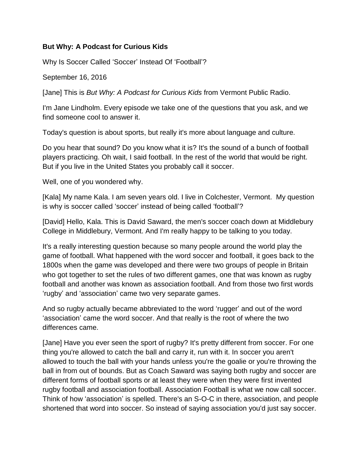## **But Why: A Podcast for Curious Kids**

Why Is Soccer Called 'Soccer' Instead Of 'Football'?

September 16, 2016

[Jane] This is *But Why: A Podcast for Curious Kids* from Vermont Public Radio.

I'm Jane Lindholm. Every episode we take one of the questions that you ask, and we find someone cool to answer it.

Today's question is about sports, but really it's more about language and culture.

Do you hear that sound? Do you know what it is? It's the sound of a bunch of football players practicing. Oh wait, I said football. In the rest of the world that would be right. But if you live in the United States you probably call it soccer.

Well, one of you wondered why.

[Kala] My name Kala. I am seven years old. I live in Colchester, Vermont. My question is why is soccer called 'soccer' instead of being called 'football'?

[David] Hello, Kala. This is David Saward, the men's soccer coach down at Middlebury College in Middlebury, Vermont. And I'm really happy to be talking to you today.

It's a really interesting question because so many people around the world play the game of football. What happened with the word soccer and football, it goes back to the 1800s when the game was developed and there were two groups of people in Britain who got together to set the rules of two different games, one that was known as rugby football and another was known as association football. And from those two first words 'rugby' and 'association' came two very separate games.

And so rugby actually became abbreviated to the word 'rugger' and out of the word 'association' came the word soccer. And that really is the root of where the two differences came.

[Jane] Have you ever seen the sport of rugby? It's pretty different from soccer. For one thing you're allowed to catch the ball and carry it, run with it. In soccer you aren't allowed to touch the ball with your hands unless you're the goalie or you're throwing the ball in from out of bounds. But as Coach Saward was saying both rugby and soccer are different forms of football sports or at least they were when they were first invented rugby football and association football. Association Football is what we now call soccer. Think of how 'association' is spelled. There's an S-O-C in there, association, and people shortened that word into soccer. So instead of saying association you'd just say soccer.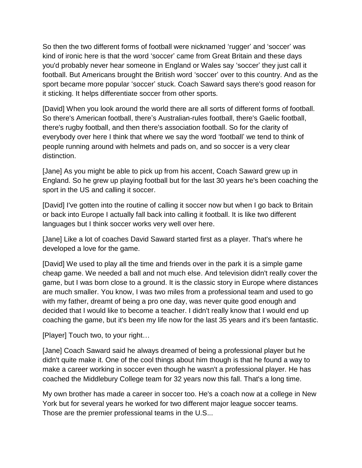So then the two different forms of football were nicknamed 'rugger' and 'soccer' was kind of ironic here is that the word 'soccer' came from Great Britain and these days you'd probably never hear someone in England or Wales say 'soccer' they just call it football. But Americans brought the British word 'soccer' over to this country. And as the sport became more popular 'soccer' stuck. Coach Saward says there's good reason for it sticking. It helps differentiate soccer from other sports.

[David] When you look around the world there are all sorts of different forms of football. So there's American football, there's Australian-rules football, there's Gaelic football, there's rugby football, and then there's association football. So for the clarity of everybody over here I think that where we say the word 'football' we tend to think of people running around with helmets and pads on, and so soccer is a very clear distinction.

[Jane] As you might be able to pick up from his accent, Coach Saward grew up in England. So he grew up playing football but for the last 30 years he's been coaching the sport in the US and calling it soccer.

[David] I've gotten into the routine of calling it soccer now but when I go back to Britain or back into Europe I actually fall back into calling it football. It is like two different languages but I think soccer works very well over here.

[Jane] Like a lot of coaches David Saward started first as a player. That's where he developed a love for the game.

[David] We used to play all the time and friends over in the park it is a simple game cheap game. We needed a ball and not much else. And television didn't really cover the game, but I was born close to a ground. It is the classic story in Europe where distances are much smaller. You know, I was two miles from a professional team and used to go with my father, dreamt of being a pro one day, was never quite good enough and decided that I would like to become a teacher. I didn't really know that I would end up coaching the game, but it's been my life now for the last 35 years and it's been fantastic.

[Player] Touch two, to your right…

[Jane] Coach Saward said he always dreamed of being a professional player but he didn't quite make it. One of the cool things about him though is that he found a way to make a career working in soccer even though he wasn't a professional player. He has coached the Middlebury College team for 32 years now this fall. That's a long time.

My own brother has made a career in soccer too. He's a coach now at a college in New York but for several years he worked for two different major league soccer teams. Those are the premier professional teams in the U.S...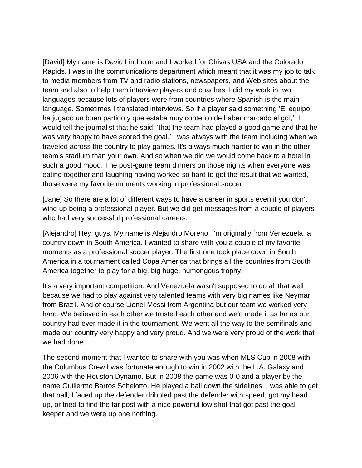[David] My name is David Lindholm and I worked for Chivas USA and the Colorado Rapids. I was in the communications department which meant that it was my job to talk to media members from TV and radio stations, newspapers, and Web sites about the team and also to help them interview players and coaches. I did my work in two languages because lots of players were from countries where Spanish is the main language. Sometimes I translated interviews. So if a player said something 'El equipo ha jugado un buen partido y que estaba muy contento de haber marcado el gol,' I would tell the journalist that he said, 'that the team had played a good game and that he was very happy to have scored the goal.' I was always with the team including when we traveled across the country to play games. It's always much harder to win in the other team's stadium than your own. And so when we did we would come back to a hotel in such a good mood. The post-game team dinners on those nights when everyone was eating together and laughing having worked so hard to get the result that we wanted, those were my favorite moments working in professional soccer.

[Jane] So there are a lot of different ways to have a career in sports even if you don't wind up being a professional player. But we did get messages from a couple of players who had very successful professional careers.

[Alejandro] Hey, guys. My name is Alejandro Moreno. I'm originally from Venezuela, a country down in South America. I wanted to share with you a couple of my favorite moments as a professional soccer player. The first one took place down in South America in a tournament called Copa America that brings all the countries from South America together to play for a big, big huge, humongous trophy.

It's a very important competition. And Venezuela wasn't supposed to do all that well because we had to play against very talented teams with very big names like Neymar from Brazil. And of course Lionel Messi from Argentina but our team we worked very hard. We believed in each other we trusted each other and we'd made it as far as our country had ever made it in the tournament. We went all the way to the semifinals and made our country very happy and very proud. And we were very proud of the work that we had done.

The second moment that I wanted to share with you was when MLS Cup in 2008 with the Columbus Crew I was fortunate enough to win in 2002 with the L.A. Galaxy and 2006 with the Houston Dynamo. But in 2008 the game was 0-0 and a player by the name Guillermo Barros Schelotto. He played a ball down the sidelines. I was able to get that ball, I faced up the defender dribbled past the defender with speed, got my head up, or tried to find the far post with a nice powerful low shot that got past the goal keeper and we were up one nothing.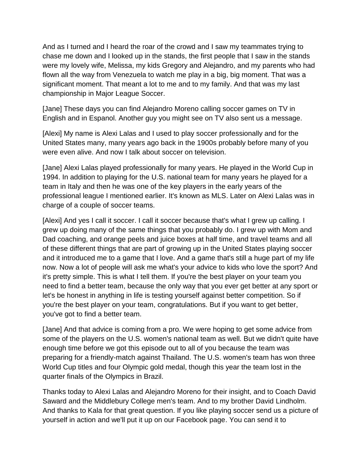And as I turned and I heard the roar of the crowd and I saw my teammates trying to chase me down and I looked up in the stands, the first people that I saw in the stands were my lovely wife, Melissa, my kids Gregory and Alejandro, and my parents who had flown all the way from Venezuela to watch me play in a big, big moment. That was a significant moment. That meant a lot to me and to my family. And that was my last championship in Major League Soccer.

[Jane] These days you can find Alejandro Moreno calling soccer games on TV in English and in Espanol. Another guy you might see on TV also sent us a message.

[Alexi] My name is Alexi Lalas and I used to play soccer professionally and for the United States many, many years ago back in the 1900s probably before many of you were even alive. And now I talk about soccer on television.

[Jane] Alexi Lalas played professionally for many years. He played in the World Cup in 1994. In addition to playing for the U.S. national team for many years he played for a team in Italy and then he was one of the key players in the early years of the professional league I mentioned earlier. It's known as MLS. Later on Alexi Lalas was in charge of a couple of soccer teams.

[Alexi] And yes I call it soccer. I call it soccer because that's what I grew up calling. I grew up doing many of the same things that you probably do. I grew up with Mom and Dad coaching, and orange peels and juice boxes at half time, and travel teams and all of these different things that are part of growing up in the United States playing soccer and it introduced me to a game that I love. And a game that's still a huge part of my life now. Now a lot of people will ask me what's your advice to kids who love the sport? And it's pretty simple. This is what I tell them. If you're the best player on your team you need to find a better team, because the only way that you ever get better at any sport or let's be honest in anything in life is testing yourself against better competition. So if you're the best player on your team, congratulations. But if you want to get better, you've got to find a better team.

[Jane] And that advice is coming from a pro. We were hoping to get some advice from some of the players on the U.S. women's national team as well. But we didn't quite have enough time before we got this episode out to all of you because the team was preparing for a friendly-match against Thailand. The U.S. women's team has won three World Cup titles and four Olympic gold medal, though this year the team lost in the quarter finals of the Olympics in Brazil.

Thanks today to Alexi Lalas and Alejandro Moreno for their insight, and to Coach David Saward and the Middlebury College men's team. And to my brother David Lindholm. And thanks to Kala for that great question. If you like playing soccer send us a picture of yourself in action and we'll put it up on our Facebook page. You can send it to